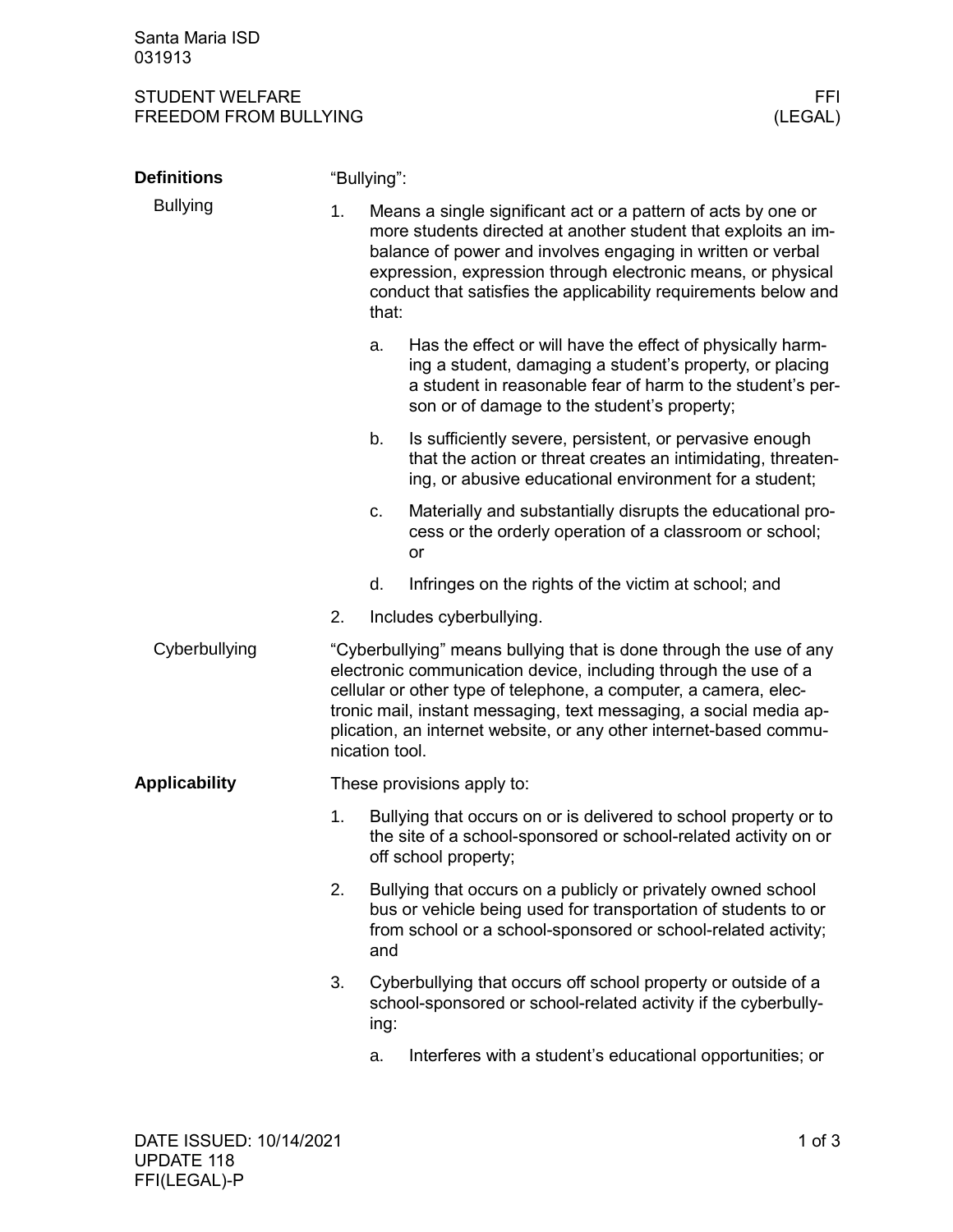Santa Maria ISD 031913

## STUDENT WELFARE FFINDENT WELFARE FREEDOM FROM BULLYING FREEDOM FROM BULLYING

| <b>Definitions</b>   |                                                                                                                                                                                                                                                                                                                                                                         | "Bullying":                                                                                                                                                                                            |                                                                                                                                                                                                                                                                                                                                   |  |  |
|----------------------|-------------------------------------------------------------------------------------------------------------------------------------------------------------------------------------------------------------------------------------------------------------------------------------------------------------------------------------------------------------------------|--------------------------------------------------------------------------------------------------------------------------------------------------------------------------------------------------------|-----------------------------------------------------------------------------------------------------------------------------------------------------------------------------------------------------------------------------------------------------------------------------------------------------------------------------------|--|--|
| <b>Bullying</b>      | 1.                                                                                                                                                                                                                                                                                                                                                                      | that:                                                                                                                                                                                                  | Means a single significant act or a pattern of acts by one or<br>more students directed at another student that exploits an im-<br>balance of power and involves engaging in written or verbal<br>expression, expression through electronic means, or physical<br>conduct that satisfies the applicability requirements below and |  |  |
|                      |                                                                                                                                                                                                                                                                                                                                                                         | a.                                                                                                                                                                                                     | Has the effect or will have the effect of physically harm-<br>ing a student, damaging a student's property, or placing<br>a student in reasonable fear of harm to the student's per-<br>son or of damage to the student's property;                                                                                               |  |  |
|                      |                                                                                                                                                                                                                                                                                                                                                                         | b.                                                                                                                                                                                                     | Is sufficiently severe, persistent, or pervasive enough<br>that the action or threat creates an intimidating, threaten-<br>ing, or abusive educational environment for a student;                                                                                                                                                 |  |  |
|                      |                                                                                                                                                                                                                                                                                                                                                                         | c.                                                                                                                                                                                                     | Materially and substantially disrupts the educational pro-<br>cess or the orderly operation of a classroom or school;<br>or                                                                                                                                                                                                       |  |  |
|                      |                                                                                                                                                                                                                                                                                                                                                                         | d.                                                                                                                                                                                                     | Infringes on the rights of the victim at school; and                                                                                                                                                                                                                                                                              |  |  |
|                      | 2.                                                                                                                                                                                                                                                                                                                                                                      |                                                                                                                                                                                                        | Includes cyberbullying.                                                                                                                                                                                                                                                                                                           |  |  |
| Cyberbullying        | "Cyberbullying" means bullying that is done through the use of any<br>electronic communication device, including through the use of a<br>cellular or other type of telephone, a computer, a camera, elec-<br>tronic mail, instant messaging, text messaging, a social media ap-<br>plication, an internet website, or any other internet-based commu-<br>nication tool. |                                                                                                                                                                                                        |                                                                                                                                                                                                                                                                                                                                   |  |  |
| <b>Applicability</b> | These provisions apply to:                                                                                                                                                                                                                                                                                                                                              |                                                                                                                                                                                                        |                                                                                                                                                                                                                                                                                                                                   |  |  |
|                      | 1.                                                                                                                                                                                                                                                                                                                                                                      | Bullying that occurs on or is delivered to school property or to<br>the site of a school-sponsored or school-related activity on or<br>off school property;                                            |                                                                                                                                                                                                                                                                                                                                   |  |  |
|                      | 2.                                                                                                                                                                                                                                                                                                                                                                      | Bullying that occurs on a publicly or privately owned school<br>bus or vehicle being used for transportation of students to or<br>from school or a school-sponsored or school-related activity;<br>and |                                                                                                                                                                                                                                                                                                                                   |  |  |
|                      | 3.                                                                                                                                                                                                                                                                                                                                                                      | ing:                                                                                                                                                                                                   | Cyberbullying that occurs off school property or outside of a<br>school-sponsored or school-related activity if the cyberbully-                                                                                                                                                                                                   |  |  |
|                      |                                                                                                                                                                                                                                                                                                                                                                         | a.                                                                                                                                                                                                     | Interferes with a student's educational opportunities; or                                                                                                                                                                                                                                                                         |  |  |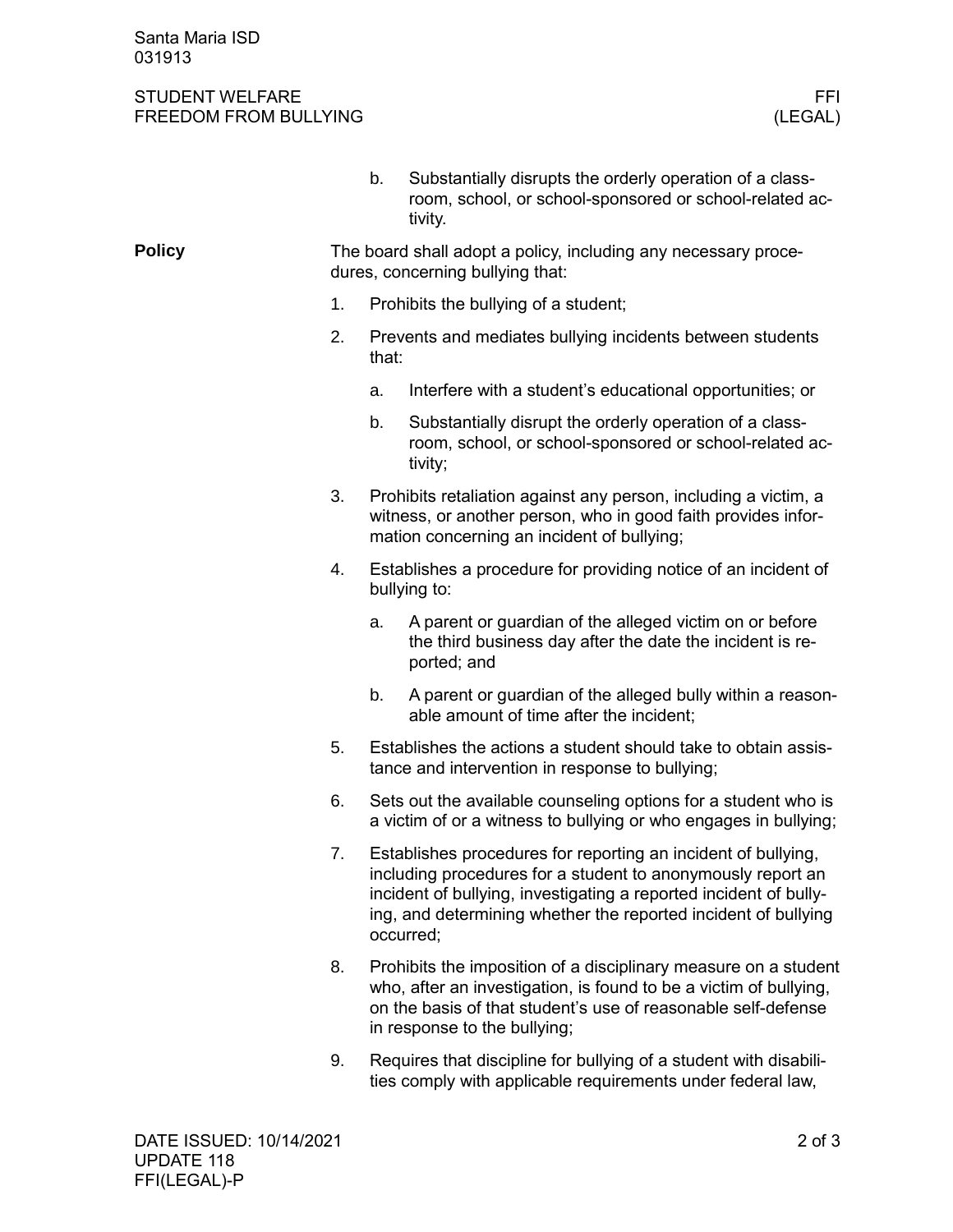Santa Maria ISD 031913

## STUDENT WELFARE FFINDENT WELFARE FREEDOM FROM BULLYING AND THE SERVICE OF THE SERVICE OF THE SERVICE OF THE SE FREEDOM FROM BULLYING

|               |                                                                                                    | b.                                                                                                                                                                                                                                                                               | Substantially disrupts the orderly operation of a class-<br>room, school, or school-sponsored or school-related ac-<br>tivity.                                                                                                        |  |  |
|---------------|----------------------------------------------------------------------------------------------------|----------------------------------------------------------------------------------------------------------------------------------------------------------------------------------------------------------------------------------------------------------------------------------|---------------------------------------------------------------------------------------------------------------------------------------------------------------------------------------------------------------------------------------|--|--|
| <b>Policy</b> | The board shall adopt a policy, including any necessary proce-<br>dures, concerning bullying that: |                                                                                                                                                                                                                                                                                  |                                                                                                                                                                                                                                       |  |  |
|               | 1.                                                                                                 | Prohibits the bullying of a student;                                                                                                                                                                                                                                             |                                                                                                                                                                                                                                       |  |  |
|               | 2.                                                                                                 | Prevents and mediates bullying incidents between students<br>that:                                                                                                                                                                                                               |                                                                                                                                                                                                                                       |  |  |
|               |                                                                                                    | a.                                                                                                                                                                                                                                                                               | Interfere with a student's educational opportunities; or                                                                                                                                                                              |  |  |
|               |                                                                                                    | b.                                                                                                                                                                                                                                                                               | Substantially disrupt the orderly operation of a class-<br>room, school, or school-sponsored or school-related ac-<br>tivity;                                                                                                         |  |  |
|               | 3.                                                                                                 |                                                                                                                                                                                                                                                                                  | Prohibits retaliation against any person, including a victim, a<br>witness, or another person, who in good faith provides infor-<br>mation concerning an incident of bullying;                                                        |  |  |
|               | 4.                                                                                                 |                                                                                                                                                                                                                                                                                  | Establishes a procedure for providing notice of an incident of<br>bullying to:                                                                                                                                                        |  |  |
|               |                                                                                                    | a.                                                                                                                                                                                                                                                                               | A parent or guardian of the alleged victim on or before<br>the third business day after the date the incident is re-<br>ported; and                                                                                                   |  |  |
|               |                                                                                                    | b.                                                                                                                                                                                                                                                                               | A parent or guardian of the alleged bully within a reason-<br>able amount of time after the incident;                                                                                                                                 |  |  |
|               | 5.                                                                                                 |                                                                                                                                                                                                                                                                                  | Establishes the actions a student should take to obtain assis-<br>tance and intervention in response to bullying;                                                                                                                     |  |  |
|               | 6.                                                                                                 | Sets out the available counseling options for a student who is<br>a victim of or a witness to bullying or who engages in bullying;                                                                                                                                               |                                                                                                                                                                                                                                       |  |  |
|               | 7.                                                                                                 | Establishes procedures for reporting an incident of bullying,<br>including procedures for a student to anonymously report an<br>incident of bullying, investigating a reported incident of bully-<br>ing, and determining whether the reported incident of bullying<br>occurred; |                                                                                                                                                                                                                                       |  |  |
|               | 8.                                                                                                 |                                                                                                                                                                                                                                                                                  | Prohibits the imposition of a disciplinary measure on a student<br>who, after an investigation, is found to be a victim of bullying,<br>on the basis of that student's use of reasonable self-defense<br>in response to the bullying; |  |  |
|               | 9.                                                                                                 |                                                                                                                                                                                                                                                                                  | Requires that discipline for bullying of a student with disabili-<br>ties comply with applicable requirements under federal law,                                                                                                      |  |  |